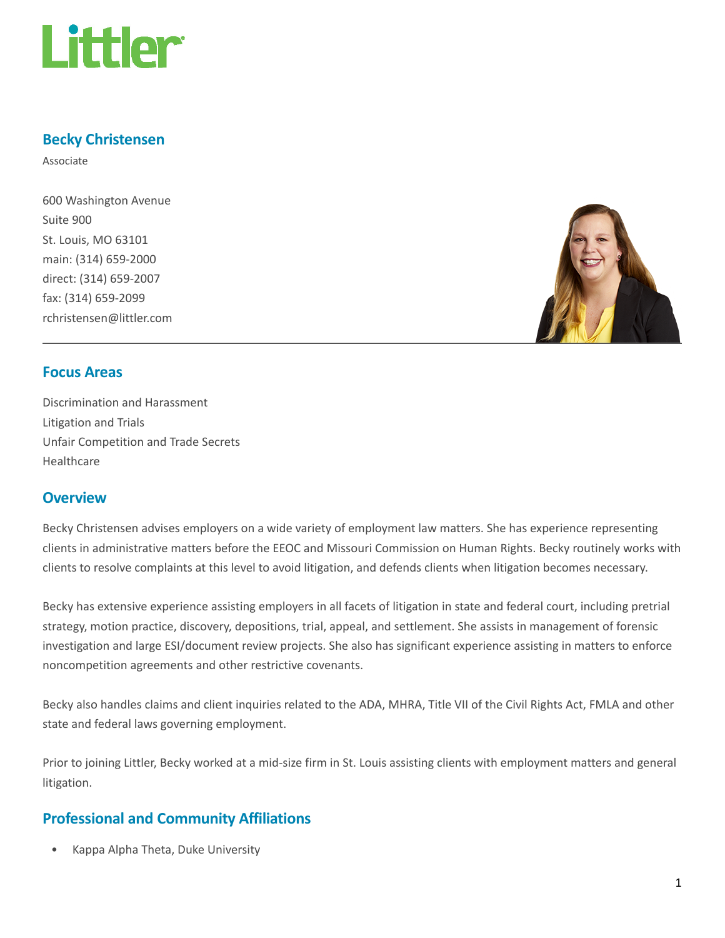

# Becky Christensen

Associate

600 Washington Avenue Suite 900 St. Louis, MO 63101 main: (314) 659-2000 direct: (314) 659-2007 fax: (314) 659-2099 rchristensen@littler.com



# Focus Areas

Discrimination and Harassment Litigation and Trials Unfair Competition and Trade Secrets Healthcare

# **Overview**

Becky Christensen advises employers on a wide variety of employment law matters. She has experience representing clients in administrative matters before the EEOC and Missouri Commission on Human Rights. Becky routinely works with clients to resolve complaints at this level to avoid litigation, and defends clients when litigation becomes necessary.

Becky has extensive experience assisting employers in all facets of litigation in state and federal court, including pretrial strategy, motion practice, discovery, depositions, trial, appeal, and settlement. She assists in management of forensic investigation and large ESI/document review projects. She also has significant experience assisting in matters to enforce noncompetition agreements and other restrictive covenants.

Becky also handles claims and client inquiries related to the ADA, MHRA, Title VII of the Civil Rights Act, FMLA and other state and federal laws governing employment.

Prior to joining Littler, Becky worked at a mid-size firm in St. Louis assisting clients with employment matters and general litigation.

# Professional and Community Affiliations

• Kappa Alpha Theta, Duke University